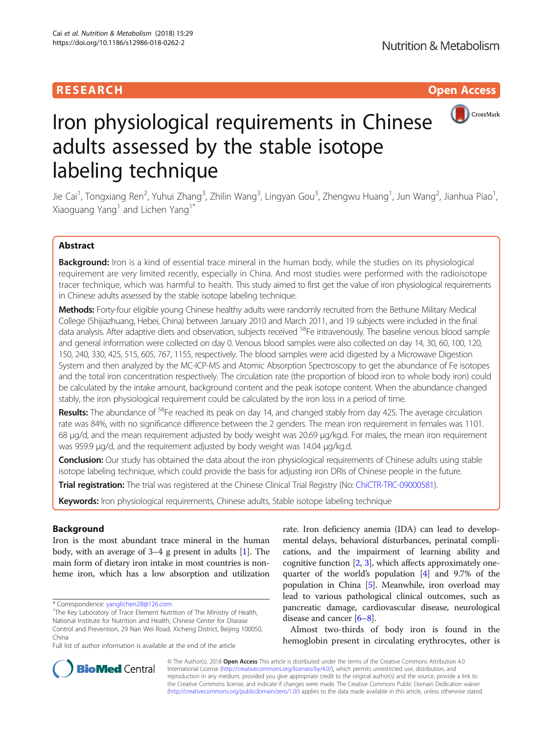# **RESEARCH CHINESE ARCH CHINESE ARCH CHINESE ARCH**



# Iron physiological requirements in Chinese adults assessed by the stable isotope labeling technique

Jie Cai<sup>1</sup>, Tongxiang Ren<sup>2</sup>, Yuhui Zhang<sup>3</sup>, Zhilin Wang<sup>3</sup>, Lingyan Gou<sup>3</sup>, Zhengwu Huang<sup>1</sup>, Jun Wang<sup>2</sup>, Jianhua Piao<sup>1</sup> , Xiaoguang Yang<sup>1</sup> and Lichen Yang<sup>1\*</sup>

# Abstract

Background: Iron is a kind of essential trace mineral in the human body, while the studies on its physiological requirement are very limited recently, especially in China. And most studies were performed with the radioisotope tracer technique, which was harmful to health. This study aimed to first get the value of iron physiological requirements in Chinese adults assessed by the stable isotope labeling technique.

Methods: Forty-four eligible young Chinese healthy adults were randomly recruited from the Bethune Military Medical College (Shijiazhuang, Hebei, China) between January 2010 and March 2011, and 19 subjects were included in the final data analysis. After adaptive diets and observation, subjects received <sup>58</sup>Fe intravenously. The baseline venous blood sample and general information were collected on day 0. Venous blood samples were also collected on day 14, 30, 60, 100, 120, 150, 240, 330, 425, 515, 605, 767, 1155, respectively. The blood samples were acid digested by a Microwave Digestion System and then analyzed by the MC-ICP-MS and Atomic Absorption Spectroscopy to get the abundance of Fe isotopes and the total iron concentration respectively. The circulation rate (the proportion of blood iron to whole body iron) could be calculated by the intake amount, background content and the peak isotope content. When the abundance changed stably, the iron physiological requirement could be calculated by the iron loss in a period of time.

Results: The abundance of <sup>58</sup>Fe reached its peak on day 14, and changed stably from day 425. The average circulation rate was 84%, with no significance difference between the 2 genders. The mean iron requirement in females was 1101. 68 μg/d, and the mean requirement adjusted by body weight was 20.69 μg/kg.d. For males, the mean iron requirement was 959.9 μg/d, and the requirement adjusted by body weight was 14.04 μg/kg.d.

Conclusion: Our study has obtained the data about the iron physiological requirements of Chinese adults using stable isotope labeling technique, which could provide the basis for adjusting iron DRIs of Chinese people in the future.

Trial registration: The trial was registered at the Chinese Clinical Trial Registry (No: [ChiCTR-TRC-09000581](http://www.chictr.org.cn/showproj.aspx?proj=8954)).

Keywords: Iron physiological requirements, Chinese adults, Stable isotope labeling technique

# Background

Iron is the most abundant trace mineral in the human body, with an average of 3–4 g present in adults [\[1](#page-7-0)]. The main form of dietary iron intake in most countries is nonheme iron, which has a low absorption and utilization

\* Correspondence: [yanglichen28@126.com](mailto:yanglichen28@126.com) <sup>1</sup>

<sup>1</sup>The Key Laboratory of Trace Element Nutrition of The Ministry of Health, National Institute for Nutrition and Health, Chinese Center for Disease Control and Prevention, 29 Nan Wei Road, Xicheng District, Beijing 100050, China

Full list of author information is available at the end of the article

rate. Iron deficiency anemia (IDA) can lead to developmental delays, behavioral disturbances, perinatal complications, and the impairment of learning ability and cognitive function [\[2,](#page-7-0) [3\]](#page-7-0), which affects approximately onequarter of the world's population [\[4](#page-7-0)] and 9.7% of the population in China [[5](#page-7-0)]. Meanwhile, iron overload may lead to various pathological clinical outcomes, such as pancreatic damage, cardiovascular disease, neurological disease and cancer [[6](#page-7-0)–[8](#page-7-0)].

Almost two-thirds of body iron is found in the hemoglobin present in circulating erythrocytes, other is



© The Author(s). 2018 Open Access This article is distributed under the terms of the Creative Commons Attribution 4.0 International License [\(http://creativecommons.org/licenses/by/4.0/](http://creativecommons.org/licenses/by/4.0/)), which permits unrestricted use, distribution, and reproduction in any medium, provided you give appropriate credit to the original author(s) and the source, provide a link to the Creative Commons license, and indicate if changes were made. The Creative Commons Public Domain Dedication waiver [\(http://creativecommons.org/publicdomain/zero/1.0/](http://creativecommons.org/publicdomain/zero/1.0/)) applies to the data made available in this article, unless otherwise stated.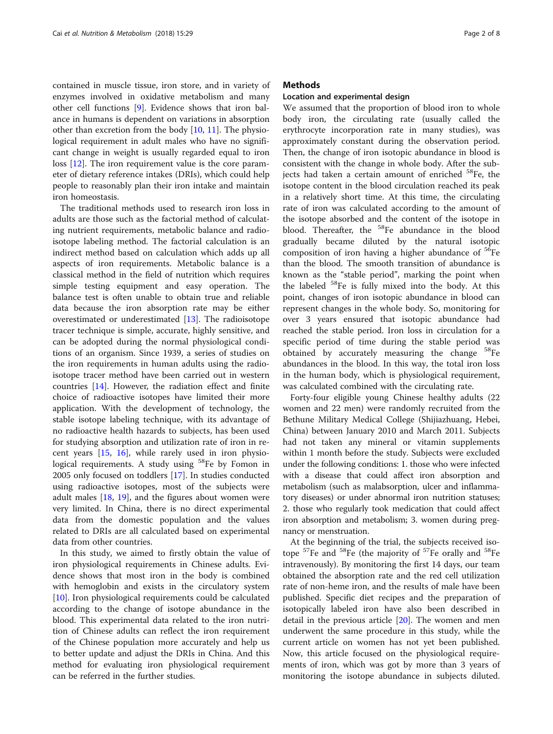contained in muscle tissue, iron store, and in variety of enzymes involved in oxidative metabolism and many other cell functions [\[9](#page-7-0)]. Evidence shows that iron balance in humans is dependent on variations in absorption other than excretion from the body [\[10](#page-7-0), [11](#page-7-0)]. The physiological requirement in adult males who have no significant change in weight is usually regarded equal to iron loss [\[12](#page-7-0)]. The iron requirement value is the core parameter of dietary reference intakes (DRIs), which could help people to reasonably plan their iron intake and maintain iron homeostasis.

The traditional methods used to research iron loss in adults are those such as the factorial method of calculating nutrient requirements, metabolic balance and radioisotope labeling method. The factorial calculation is an indirect method based on calculation which adds up all aspects of iron requirements. Metabolic balance is a classical method in the field of nutrition which requires simple testing equipment and easy operation. The balance test is often unable to obtain true and reliable data because the iron absorption rate may be either overestimated or underestimated [[13\]](#page-7-0). The radioisotope tracer technique is simple, accurate, highly sensitive, and can be adopted during the normal physiological conditions of an organism. Since 1939, a series of studies on the iron requirements in human adults using the radioisotope tracer method have been carried out in western countries [\[14](#page-7-0)]. However, the radiation effect and finite choice of radioactive isotopes have limited their more application. With the development of technology, the stable isotope labeling technique, with its advantage of no radioactive health hazards to subjects, has been used for studying absorption and utilization rate of iron in recent years [\[15](#page-7-0), [16](#page-7-0)], while rarely used in iron physiological requirements. A study using <sup>58</sup>Fe by Fomon in 2005 only focused on toddlers [[17\]](#page-7-0). In studies conducted using radioactive isotopes, most of the subjects were adult males  $[18, 19]$  $[18, 19]$  $[18, 19]$  $[18, 19]$  $[18, 19]$ , and the figures about women were very limited. In China, there is no direct experimental data from the domestic population and the values related to DRIs are all calculated based on experimental data from other countries.

In this study, we aimed to firstly obtain the value of iron physiological requirements in Chinese adults. Evidence shows that most iron in the body is combined with hemoglobin and exists in the circulatory system [[10\]](#page-7-0). Iron physiological requirements could be calculated according to the change of isotope abundance in the blood. This experimental data related to the iron nutrition of Chinese adults can reflect the iron requirement of the Chinese population more accurately and help us to better update and adjust the DRIs in China. And this method for evaluating iron physiological requirement can be referred in the further studies.

# **Methods**

## Location and experimental design

We assumed that the proportion of blood iron to whole body iron, the circulating rate (usually called the erythrocyte incorporation rate in many studies), was approximately constant during the observation period. Then, the change of iron isotopic abundance in blood is consistent with the change in whole body. After the subjects had taken a certain amount of enriched <sup>58</sup>Fe, the isotope content in the blood circulation reached its peak in a relatively short time. At this time, the circulating rate of iron was calculated according to the amount of the isotope absorbed and the content of the isotope in blood. Thereafter, the <sup>58</sup>Fe abundance in the blood gradually became diluted by the natural isotopic composition of iron having a higher abundance of <sup>56</sup>Fe than the blood. The smooth transition of abundance is known as the "stable period", marking the point when the labeled  $58$ Fe is fully mixed into the body. At this point, changes of iron isotopic abundance in blood can represent changes in the whole body. So, monitoring for over 3 years ensured that isotopic abundance had reached the stable period. Iron loss in circulation for a specific period of time during the stable period was obtained by accurately measuring the change <sup>58</sup>Fe abundances in the blood. In this way, the total iron loss in the human body, which is physiological requirement, was calculated combined with the circulating rate.

Forty-four eligible young Chinese healthy adults (22 women and 22 men) were randomly recruited from the Bethune Military Medical College (Shijiazhuang, Hebei, China) between January 2010 and March 2011. Subjects had not taken any mineral or vitamin supplements within 1 month before the study. Subjects were excluded under the following conditions: 1. those who were infected with a disease that could affect iron absorption and metabolism (such as malabsorption, ulcer and inflammatory diseases) or under abnormal iron nutrition statuses; 2. those who regularly took medication that could affect iron absorption and metabolism; 3. women during pregnancy or menstruation.

At the beginning of the trial, the subjects received isotope  ${}^{57}$ Fe and  ${}^{58}$ Fe (the majority of  ${}^{57}$ Fe orally and  ${}^{58}$ Fe intravenously). By monitoring the first 14 days, our team obtained the absorption rate and the red cell utilization rate of non-heme iron, and the results of male have been published. Specific diet recipes and the preparation of isotopically labeled iron have also been described in detail in the previous article [\[20](#page-7-0)]. The women and men underwent the same procedure in this study, while the current article on women has not yet been published. Now, this article focused on the physiological requirements of iron, which was got by more than 3 years of monitoring the isotope abundance in subjects diluted.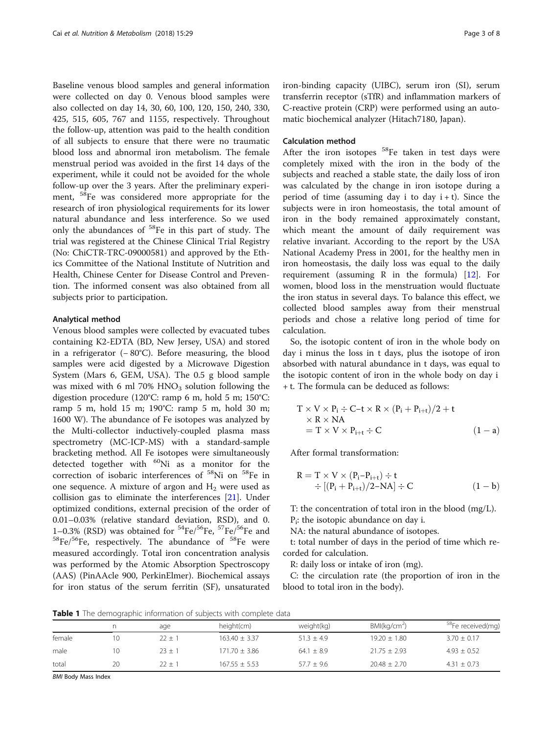<span id="page-2-0"></span>Baseline venous blood samples and general information were collected on day 0. Venous blood samples were also collected on day 14, 30, 60, 100, 120, 150, 240, 330, 425, 515, 605, 767 and 1155, respectively. Throughout the follow-up, attention was paid to the health condition of all subjects to ensure that there were no traumatic blood loss and abnormal iron metabolism. The female menstrual period was avoided in the first 14 days of the experiment, while it could not be avoided for the whole follow-up over the 3 years. After the preliminary experiment, 58Fe was considered more appropriate for the research of iron physiological requirements for its lower natural abundance and less interference. So we used only the abundances of 58Fe in this part of study. The trial was registered at the Chinese Clinical Trial Registry (No: ChiCTR-TRC-09000581) and approved by the Ethics Committee of the National Institute of Nutrition and Health, Chinese Center for Disease Control and Prevention. The informed consent was also obtained from all subjects prior to participation.

## Analytical method

Venous blood samples were collected by evacuated tubes containing K2-EDTA (BD, New Jersey, USA) and stored in a refrigerator (− 80°C). Before measuring, the blood samples were acid digested by a Microwave Digestion System (Mars 6, GEM, USA). The 0.5 g blood sample was mixed with 6 ml 70%  $HNO<sub>3</sub>$  solution following the digestion procedure (120°C: ramp 6 m, hold 5 m; 150°C: ramp 5 m, hold 15 m; 190°C: ramp 5 m, hold 30 m; 1600 W). The abundance of Fe isotopes was analyzed by the Multi-collector inductively-coupled plasma mass spectrometry (MC-ICP-MS) with a standard-sample bracketing method. All Fe isotopes were simultaneously detected together with  $^{60}$ Ni as a monitor for the correction of isobaric interferences of 58Ni on 58Fe in one sequence. A mixture of argon and  $H_2$  were used as collision gas to eliminate the interferences [\[21\]](#page-7-0). Under optimized conditions, external precision of the order of 0.01–0.03% (relative standard deviation, RSD), and 0. 1–0.3% (RSD) was obtained for  ${}^{54}Fe/{}^{56}Fe$ ,  ${}^{57}Fe/{}^{56}Fe$  and  ${}^{58}Fe/{}^{56}Fe$ , respectively. The abundance of  ${}^{58}Fe$  were measured accordingly. Total iron concentration analysis was performed by the Atomic Absorption Spectroscopy (AAS) (PinAAcle 900, PerkinElmer). Biochemical assays for iron status of the serum ferritin (SF), unsaturated iron-binding capacity (UIBC), serum iron (SI), serum transferrin receptor (sTfR) and inflammation markers of C-reactive protein (CRP) were performed using an automatic biochemical analyzer (Hitach7180, Japan).

#### Calculation method

After the iron isotopes  $58$ Fe taken in test days were completely mixed with the iron in the body of the subjects and reached a stable state, the daily loss of iron was calculated by the change in iron isotope during a period of time (assuming day i to day  $i + t$ ). Since the subjects were in iron homeostasis, the total amount of iron in the body remained approximately constant, which meant the amount of daily requirement was relative invariant. According to the report by the USA National Academy Press in 2001, for the healthy men in iron homeostasis, the daily loss was equal to the daily requirement (assuming R in the formula) [[12\]](#page-7-0). For women, blood loss in the menstruation would fluctuate the iron status in several days. To balance this effect, we collected blood samples away from their menstrual periods and chose a relative long period of time for calculation.

So, the isotopic content of iron in the whole body on day i minus the loss in t days, plus the isotope of iron absorbed with natural abundance in t days, was equal to the isotopic content of iron in the whole body on day i + t. The formula can be deduced as follows:

$$
T \times V \times P_i \div C - t \times R \times (P_i + P_{i+t})/2 + t
$$
  
\n
$$
\times R \times NA
$$
  
\n
$$
= T \times V \times P_{i+t} \div C
$$
 (1-a)

After formal transformation:

$$
R = T \times V \times (P_i - P_{i+t}) \div t
$$
  
 
$$
\div [(P_i + P_{i+t})/2 - NA] \div C
$$
 (1 - b)

T: the concentration of total iron in the blood (mg/L).

P<sub>i</sub>: the isotopic abundance on day i.

NA: the natural abundance of isotopes.

t: total number of days in the period of time which recorded for calculation.

R: daily loss or intake of iron (mg).

C: the circulation rate (the proportion of iron in the blood to total iron in the body).

**Table 1** The demographic information of subjects with complete data

|        |    | age        | height(cm)        | weight(kg)   | BMl(kq/cm <sup>2</sup> ) | <sup>58</sup> Fe received(mg) |
|--------|----|------------|-------------------|--------------|--------------------------|-------------------------------|
| female |    | $22 \pm 1$ | $163.40 \pm 3.37$ | $51.3 + 4.9$ | $19.20 \pm 1.80$         | $3.70 \pm 0.17$               |
| male   | 10 | $23 + 1$   | $171.70 + 3.86$   | $64.1 + 8.9$ | $21.75 + 2.93$           | $4.93 + 0.52$                 |
| total  | 20 | $22 + 1$   | $167.55 + 5.53$   | $57.7 + 9.6$ | $20.48 + 2.70$           | $4.31 \pm 0.73$               |

BMI Body Mass Index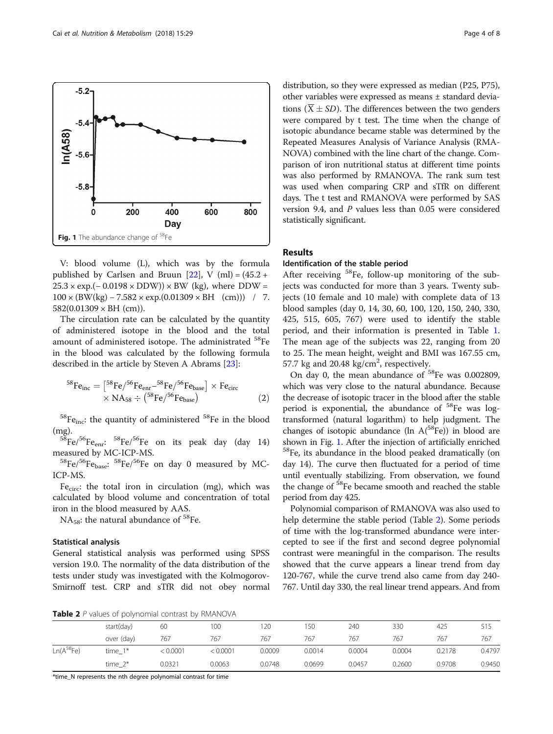

V: blood volume (L), which was by the formula published by Carlsen and Bruun  $[22]$  $[22]$  $[22]$ , V (ml) =  $(45.2 +$  $25.3 \times \exp(-0.0198 \times \text{DDW}) \times \text{BW}$  (kg), where DDW =  $100 \times (BW(kg) - 7.582 \times exp.(0.01309 \times BH (cm)))$  / 7.  $582(0.01309 \times BH$  (cm)).

The circulation rate can be calculated by the quantity of administered isotope in the blood and the total amount of administered isotope. The administrated 58Fe in the blood was calculated by the following formula described in the article by Steven A Abrams [[23\]](#page-7-0):

$$
^{58}\text{Fe}_{\text{inc}} = \left[ {}^{58}\text{Fe} / {}^{56}\text{Fe}_{\text{enr}} - {}^{58}\text{Fe} / {}^{56}\text{Fe}_{\text{base}} \right] \times \text{Fe}_{\text{circ}} \times \text{NA}_{58} \div \left( {}^{58}\text{Fe} / {}^{56}\text{Fe}_{\text{base}} \right) \tag{2}
$$

 ${}^{58}Fe$ <sub>inc</sub>: the quantity of administered  ${}^{58}Fe$  in the blood

(mg).<br> ${}^{58}\text{Fe}/{}^{56}\text{Fe}_{enr}: {}^{58}\text{Fe}/{}^{56}\text{Fe}$  on its peak day (day 14)<br>measured by MC-ICP-MS.

 $^{58}Fe^{56}Fe$ <sub>base</sub>:  $^{58}Fe^{56}Fe$  on day 0 measured by MC-ICP-MS.

Fe $_{circ}$ : the total iron in circulation (mg), which was calculated by blood volume and concentration of total iron in the blood measured by AAS.

 $NA<sub>58</sub>$ : the natural abundance of <sup>58</sup>Fe.

# Statistical analysis

General statistical analysis was performed using SPSS version 19.0. The normality of the data distribution of the tests under study was investigated with the Kolmogorov-Smirnoff test. CRP and sTfR did not obey normal

distribution, so they were expressed as median (P25, P75), other variables were expressed as means ± standard deviations ( $\overline{X} \pm SD$ ). The differences between the two genders were compared by t test. The time when the change of isotopic abundance became stable was determined by the Repeated Measures Analysis of Variance Analysis (RMA-NOVA) combined with the line chart of the change. Comparison of iron nutritional status at different time points was also performed by RMANOVA. The rank sum test was used when comparing CRP and sTfR on different days. The t test and RMANOVA were performed by SAS version 9.4, and P values less than 0.05 were considered statistically significant.

# Results

# Identification of the stable period

After receiving <sup>58</sup>Fe, follow-up monitoring of the subjects was conducted for more than 3 years. Twenty subjects (10 female and 10 male) with complete data of 13 blood samples (day 0, 14, 30, 60, 100, 120, 150, 240, 330, 425, 515, 605, 767) were used to identify the stable period, and their information is presented in Table [1](#page-2-0). The mean age of the subjects was 22, ranging from 20 to 25. The mean height, weight and BMI was 167.55 cm, 57.7 kg and 20.48  $\text{kg/cm}^2$ , respectively.

On day 0, the mean abundance of <sup>58</sup>Fe was 0.002809, which was very close to the natural abundance. Because the decrease of isotopic tracer in the blood after the stable period is exponential, the abundance of  ${}^{58}Fe$  was logtransformed (natural logarithm) to help judgment. The changes of isotopic abundance (ln  $A^{58}Fe$ )) in blood are shown in Fig. 1. After the injection of artificially enriched 58Fe, its abundance in the blood peaked dramatically (on day 14). The curve then fluctuated for a period of time until eventually stabilizing. From observation, we found the change of <sup>58</sup>Fe became smooth and reached the stable period from day 425.

Polynomial comparison of RMANOVA was also used to help determine the stable period (Table 2). Some periods of time with the log-transformed abundance were intercepted to see if the first and second degree polynomial contrast were meaningful in the comparison. The results showed that the curve appears a linear trend from day 120-767, while the curve trend also came from day 240- 767. Until day 330, the real linear trend appears. And from

Table 2 P values of polynomial contrast by RMANOVA

| start(day) | 60       | 100      | 120    | 150    | 240    | 330    | 425    | 515    |
|------------|----------|----------|--------|--------|--------|--------|--------|--------|
| over (day) | 767      | 767      | 767    | 767    | 767    | 767    | 767    | 767    |
| $time_1*$  | < 0.0001 | < 0.0001 | 0.0009 | 0.0014 | 0.0004 | 0.0004 | 0.2178 | 0.4797 |
| time $2^*$ | 0.0321   | 0.0063   | 0.0748 | 0.0699 | 0.0457 | 0.2600 | 0.9708 | 0.9450 |
|            |          |          |        |        |        |        |        |        |

\*time\_N represents the nth degree polynomial contrast for time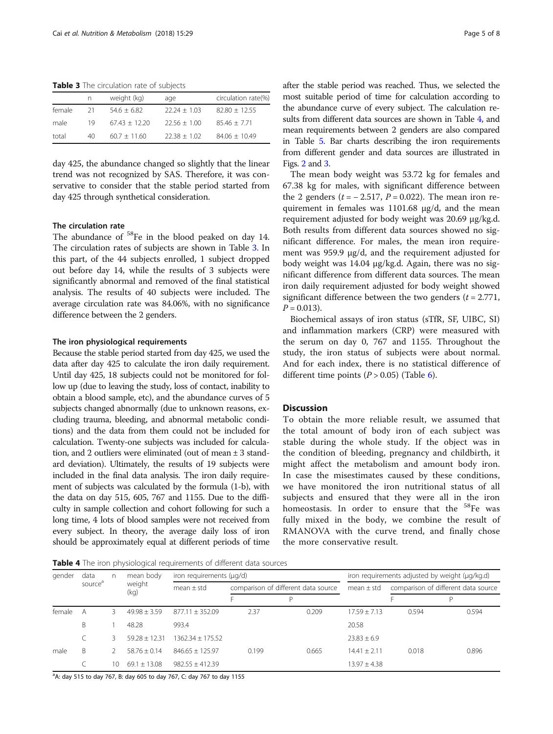Table 3 The circulation rate of subjects

|        | n   | weight (kg)     | age            | circulation rate(%) |
|--------|-----|-----------------|----------------|---------------------|
| female | 21  | $54.6 + 6.82$   | $22.24 + 1.03$ | $82.80 + 12.55$     |
| male   | 19  | $67.43 + 12.20$ | $22.56 + 1.00$ | $85.46 + 7.71$      |
| total  | 40. | $60.7 + 11.60$  | $22.38 + 1.02$ | $84.06 + 10.49$     |

day 425, the abundance changed so slightly that the linear trend was not recognized by SAS. Therefore, it was conservative to consider that the stable period started from day 425 through synthetical consideration.

# The circulation rate

The abundance of <sup>58</sup>Fe in the blood peaked on day 14. The circulation rates of subjects are shown in Table 3. In this part, of the 44 subjects enrolled, 1 subject dropped out before day 14, while the results of 3 subjects were significantly abnormal and removed of the final statistical analysis. The results of 40 subjects were included. The average circulation rate was 84.06%, with no significance difference between the 2 genders.

#### The iron physiological requirements

Because the stable period started from day 425, we used the data after day 425 to calculate the iron daily requirement. Until day 425, 18 subjects could not be monitored for follow up (due to leaving the study, loss of contact, inability to obtain a blood sample, etc), and the abundance curves of 5 subjects changed abnormally (due to unknown reasons, excluding trauma, bleeding, and abnormal metabolic conditions) and the data from them could not be included for calculation. Twenty-one subjects was included for calculation, and 2 outliers were eliminated (out of mean ± 3 standard deviation). Ultimately, the results of 19 subjects were included in the final data analysis. The iron daily requirement of subjects was calculated by the formula (1-b), with the data on day 515, 605, 767 and 1155. Due to the difficulty in sample collection and cohort following for such a long time, 4 lots of blood samples were not received from every subject. In theory, the average daily loss of iron should be approximately equal at different periods of time after the stable period was reached. Thus, we selected the most suitable period of time for calculation according to the abundance curve of every subject. The calculation results from different data sources are shown in Table 4, and mean requirements between 2 genders are also compared in Table [5](#page-5-0). Bar charts describing the iron requirements from different gender and data sources are illustrated in Figs. [2](#page-5-0) and [3.](#page-5-0)

The mean body weight was 53.72 kg for females and 67.38 kg for males, with significant difference between the 2 genders ( $t = -2.517$ ,  $P = 0.022$ ). The mean iron requirement in females was 1101.68 μg/d, and the mean requirement adjusted for body weight was 20.69 μg/kg.d. Both results from different data sources showed no significant difference. For males, the mean iron requirement was 959.9 μg/d, and the requirement adjusted for body weight was 14.04 μg/kg.d. Again, there was no significant difference from different data sources. The mean iron daily requirement adjusted for body weight showed significant difference between the two genders  $(t = 2.771,$  $P = 0.013$ .

Biochemical assays of iron status (sTfR, SF, UIBC, SI) and inflammation markers (CRP) were measured with the serum on day 0, 767 and 1155. Throughout the study, the iron status of subjects were about normal. And for each index, there is no statistical difference of different time points  $(P > 0.05)$  (Table [6\)](#page-6-0).

#### **Discussion**

To obtain the more reliable result, we assumed that the total amount of body iron of each subject was stable during the whole study. If the object was in the condition of bleeding, pregnancy and childbirth, it might affect the metabolism and amount body iron. In case the misestimates caused by these conditions, we have monitored the iron nutritional status of all subjects and ensured that they were all in the iron homeostasis. In order to ensure that the <sup>58</sup>Fe was fully mixed in the body, we combine the result of RMANOVA with the curve trend, and finally chose the more conservative result.

Table 4 The iron physiological requirements of different data sources

| gender | data<br>source <sup>a</sup> | n  | mean body<br>weight<br>(kg) | iron requirements (µg/d) |                                     |       | iron requirements adjusted by weight (µg/kg.d) |       |                                     |
|--------|-----------------------------|----|-----------------------------|--------------------------|-------------------------------------|-------|------------------------------------------------|-------|-------------------------------------|
|        |                             |    |                             | mean $\pm$ std           | comparison of different data source |       | $mean \pm std$                                 |       | comparison of different data source |
|        |                             |    |                             |                          |                                     | D     |                                                |       | Р                                   |
| female | А                           |    | $49.98 + 3.59$              | $877.11 + 352.09$        | 2.37                                | 0.209 | $17.59 + 7.13$                                 | 0.594 | 0.594                               |
|        | B                           |    | 48.28                       | 993.4                    |                                     |       | 20.58                                          |       |                                     |
|        |                             | 3  | $59.28 + 12.31$             | 1362.34 + 175.52         |                                     |       | $23.83 \pm 6.9$                                |       |                                     |
| male   | B                           |    | $58.76 + 0.14$              | $846.65 + 125.97$        | 0.199                               | 0.665 | $14.41 + 2.11$                                 | 0.018 | 0.896                               |
|        |                             | 10 | $69.1 + 13.08$              | $982.55 + 412.39$        |                                     |       | 13.97 ± 4.38                                   |       |                                     |

<sup>a</sup>A: day 515 to day 767, B: day 605 to day 767, C: day 767 to day 1155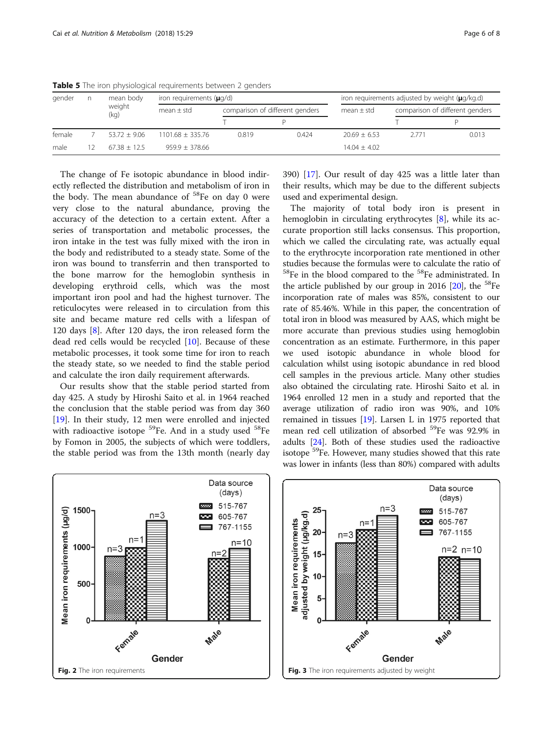| gender |  | mean body<br>weight<br>(kq) | iron requirements $(\mu q/d)$ |       |                                 | iron requirements adjusted by weight (µg/kg.d) |                                 |       |
|--------|--|-----------------------------|-------------------------------|-------|---------------------------------|------------------------------------------------|---------------------------------|-------|
|        |  |                             | mean $\pm$ std                |       | comparison of different genders |                                                | comparison of different genders |       |
|        |  |                             |                               |       |                                 |                                                |                                 |       |
| female |  | $53.72 + 9.06$              | $1101.68 + 335.76$            | 0.819 | 0.424                           | $20.69 + 6.53$                                 | 2771                            | 0.013 |
| male   |  | $67.38 + 12.5$              | $959.9 \pm 378.66$            |       |                                 | $14.04 \pm 4.02$                               |                                 |       |

<span id="page-5-0"></span>Table 5 The iron physiological requirements between 2 genders

The change of Fe isotopic abundance in blood indirectly reflected the distribution and metabolism of iron in the body. The mean abundance of  $58$ Fe on day 0 were very close to the natural abundance, proving the accuracy of the detection to a certain extent. After a series of transportation and metabolic processes, the iron intake in the test was fully mixed with the iron in the body and redistributed to a steady state. Some of the iron was bound to transferrin and then transported to the bone marrow for the hemoglobin synthesis in developing erythroid cells, which was the most important iron pool and had the highest turnover. The reticulocytes were released in to circulation from this site and became mature red cells with a lifespan of 120 days [[8\]](#page-7-0). After 120 days, the iron released form the dead red cells would be recycled [[10\]](#page-7-0). Because of these metabolic processes, it took some time for iron to reach the steady state, so we needed to find the stable period and calculate the iron daily requirement afterwards.

Our results show that the stable period started from day 425. A study by Hiroshi Saito et al. in 1964 reached the conclusion that the stable period was from day 360 [[19\]](#page-7-0). In their study, 12 men were enrolled and injected with radioactive isotope <sup>59</sup>Fe. And in a study used <sup>58</sup>Fe by Fomon in 2005, the subjects of which were toddlers, the stable period was from the 13th month (nearly day 390) [\[17\]](#page-7-0). Our result of day 425 was a little later than their results, which may be due to the different subjects used and experimental design.

The majority of total body iron is present in hemoglobin in circulating erythrocytes [\[8\]](#page-7-0), while its accurate proportion still lacks consensus. This proportion, which we called the circulating rate, was actually equal to the erythrocyte incorporation rate mentioned in other studies because the formulas were to calculate the ratio of  $58$ Fe in the blood compared to the  $58$ Fe administrated. In the article published by our group in 2016  $[20]$ , the <sup>58</sup>Fe incorporation rate of males was 85%, consistent to our rate of 85.46%. While in this paper, the concentration of total iron in blood was measured by AAS, which might be more accurate than previous studies using hemoglobin concentration as an estimate. Furthermore, in this paper we used isotopic abundance in whole blood for calculation whilst using isotopic abundance in red blood cell samples in the previous article. Many other studies also obtained the circulating rate. Hiroshi Saito et al. in 1964 enrolled 12 men in a study and reported that the average utilization of radio iron was 90%, and 10% remained in tissues [\[19\]](#page-7-0). Larsen L in 1975 reported that mean red cell utilization of absorbed <sup>59</sup>Fe was 92.9% in adults [\[24\]](#page-7-0). Both of these studies used the radioactive isotope <sup>59</sup>Fe. However, many studies showed that this rate was lower in infants (less than 80%) compared with adults



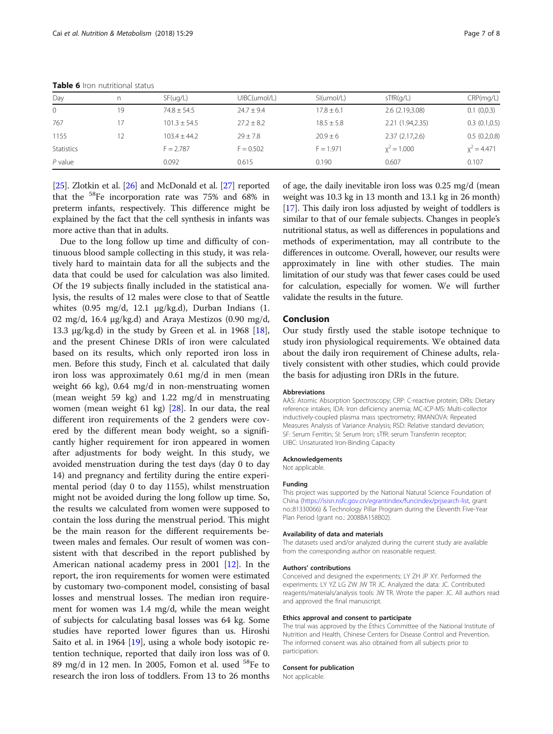| Day          | n  | SF( uq/L)      | UIBC(umol/L)   | SI(umol/L)     | sTfR(q/L)        | CRP(mq/L)     |
|--------------|----|----------------|----------------|----------------|------------------|---------------|
| $\mathbf{0}$ | 19 | $74.8 + 54.5$  | $24.7 \pm 9.4$ | $17.8 \pm 6.1$ | 2.6 (2.19,3.08)  | 0.1(0,0.3)    |
| 767          | 17 | $101.3 + 54.5$ | $27.2 \pm 8.2$ | $18.5 \pm 5.8$ | 2.21 (1.94,2.35) | 0.3(0.1,0.5)  |
| 1155         | 12 | $103.4 + 44.2$ | $79 + 7.8$     | $20.9 \pm 6$   | 2.37(2.17,2.6)   | 0.5(0.2,0.8)  |
| Statistics   |    | $F = 2.787$    | $F = 0.502$    | $F = 1.971$    | $x^2 = 1.000$    | $x^2 = 4.471$ |
| $P$ value    |    | 0.092          | 0.615          | 0.190          | 0.607            | 0.107         |

<span id="page-6-0"></span>Table 6 Iron nutritional status

[[25](#page-7-0)]. Zlotkin et al. [\[26](#page-7-0)] and McDonald et al. [\[27](#page-7-0)] reported that the 58Fe incorporation rate was 75% and 68% in preterm infants, respectively. This difference might be explained by the fact that the cell synthesis in infants was more active than that in adults.

Due to the long follow up time and difficulty of continuous blood sample collecting in this study, it was relatively hard to maintain data for all the subjects and the data that could be used for calculation was also limited. Of the 19 subjects finally included in the statistical analysis, the results of 12 males were close to that of Seattle whites (0.95 mg/d, 12.1 μg/kg.d), Durban Indians (1. 02 mg/d, 16.4 μg/kg.d) and Araya Mestizos (0.90 mg/d, 13.3 μg/kg.d) in the study by Green et al. in 1968 [\[18](#page-7-0)], and the present Chinese DRIs of iron were calculated based on its results, which only reported iron loss in men. Before this study, Finch et al. calculated that daily iron loss was approximately 0.61 mg/d in men (mean weight 66 kg), 0.64 mg/d in non-menstruating women (mean weight 59 kg) and 1.22 mg/d in menstruating women (mean weight 61 kg) [\[28\]](#page-7-0). In our data, the real different iron requirements of the 2 genders were covered by the different mean body weight, so a significantly higher requirement for iron appeared in women after adjustments for body weight. In this study, we avoided menstruation during the test days (day 0 to day 14) and pregnancy and fertility during the entire experimental period (day 0 to day 1155), whilst menstruation might not be avoided during the long follow up time. So, the results we calculated from women were supposed to contain the loss during the menstrual period. This might be the main reason for the different requirements between males and females. Our result of women was consistent with that described in the report published by American national academy press in 2001 [[12](#page-7-0)]. In the report, the iron requirements for women were estimated by customary two-component model, consisting of basal losses and menstrual losses. The median iron requirement for women was 1.4 mg/d, while the mean weight of subjects for calculating basal losses was 64 kg. Some studies have reported lower figures than us. Hiroshi Saito et al. in 1964 [\[19](#page-7-0)], using a whole body isotopic retention technique, reported that daily iron loss was of 0. 89 mg/d in 12 men. In 2005, Fomon et al. used <sup>58</sup>Fe to research the iron loss of toddlers. From 13 to 26 months of age, the daily inevitable iron loss was 0.25 mg/d (mean weight was 10.3 kg in 13 month and 13.1 kg in 26 month) [[17](#page-7-0)]. This daily iron loss adjusted by weight of toddlers is similar to that of our female subjects. Changes in people's nutritional status, as well as differences in populations and methods of experimentation, may all contribute to the differences in outcome. Overall, however, our results were approximately in line with other studies. The main limitation of our study was that fewer cases could be used for calculation, especially for women. We will further validate the results in the future.

# Conclusion

Our study firstly used the stable isotope technique to study iron physiological requirements. We obtained data about the daily iron requirement of Chinese adults, relatively consistent with other studies, which could provide the basis for adjusting iron DRIs in the future.

#### Abbreviations

AAS: Atomic Absorption Spectroscopy; CRP: C-reactive protein; DRIs: Dietary reference intakes; IDA: Iron deficiency anemia; MC-ICP-MS: Multi-collector inductively-coupled plasma mass spectrometry; RMANOVA: Repeated Measures Analysis of Variance Analysis; RSD: Relative standard deviation; SF: Serum Ferritin; SI: Serum Iron; sTfR: serum Transferrin receptor; UIBC: Unsaturated Iron-Binding Capacity

#### Acknowledgements

Not applicable.

## Funding

This project was supported by the National Natural Science Foundation of China [\(https://isisn.nsfc.gov.cn/egrantindex/funcindex/prjsearch-list](https://isisn.nsfc.gov.cn/egrantindex/funcindex/prjsearch-list), grant no.:81330066) & Technology Pillar Program during the Eleventh Five-Year Plan Period (grant no.: 2008BA158B02).

#### Availability of data and materials

The datasets used and/or analyzed during the current study are available from the corresponding author on reasonable request.

#### Authors' contributions

Conceived and designed the experiments: LY ZH JP XY. Performed the experiments: LY YZ LG ZW JW TR JC. Analyzed the data: JC. Contributed reagents/materials/analysis tools: JW TR. Wrote the paper: JC. All authors read and approved the final manuscript.

#### Ethics approval and consent to participate

The trial was approved by the Ethics Committee of the National Institute of Nutrition and Health, Chinese Centers for Disease Control and Prevention. The informed consent was also obtained from all subjects prior to participation.

## Consent for publication

Not applicable.